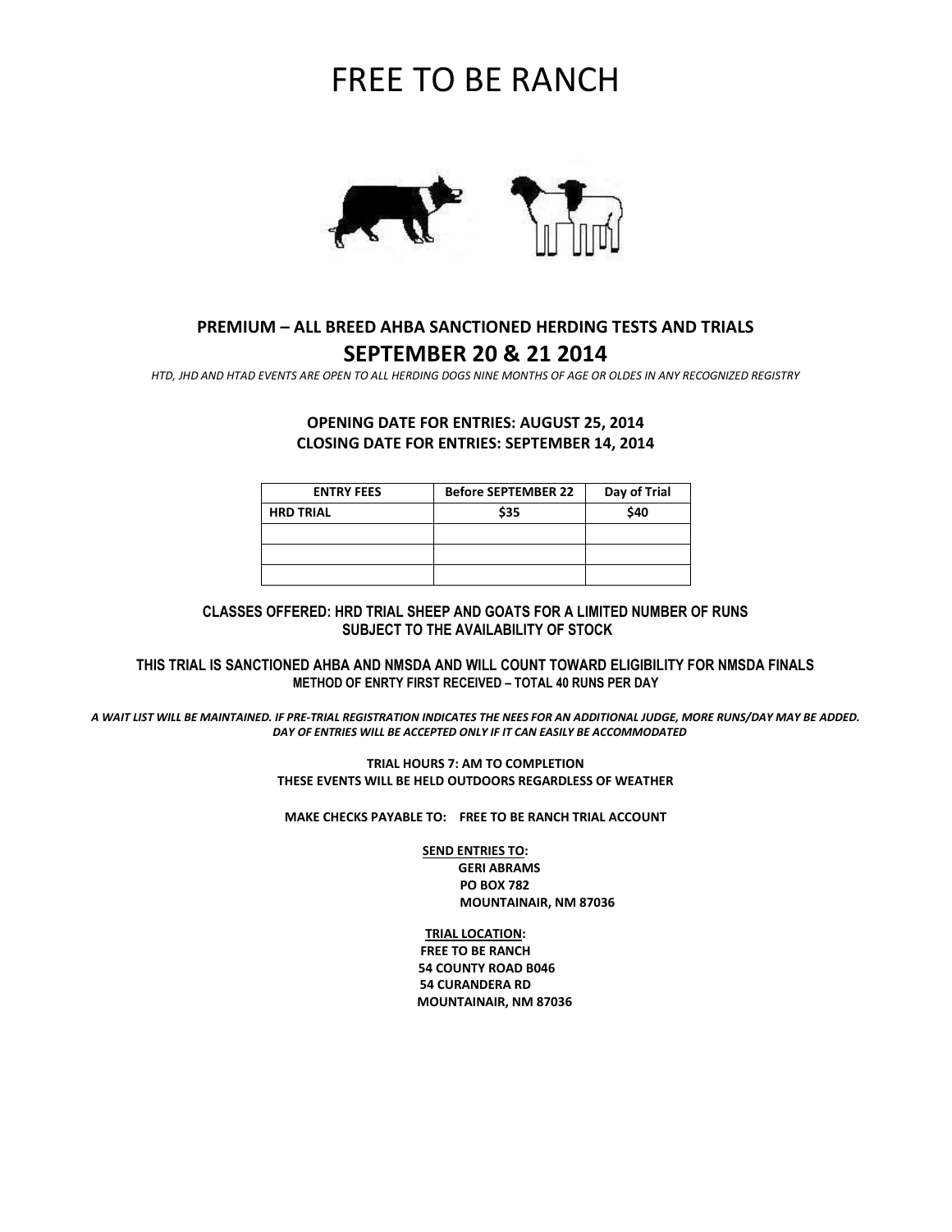# FREE TO BE RANCH



# **PREMIUM – ALL BREED AHBA SANCTIONED HERDING TESTS AND TRIALS SEPTEMBER 20 & 21 2014**

*HTD, JHD AND HTAD EVENTS ARE OPEN TO ALL HERDING DOGS NINE MONTHS OF AGE OR OLDES IN ANY RECOGNIZED REGISTRY*

# **OPENING DATE FOR ENTRIES: AUGUST 25, 2014 CLOSING DATE FOR ENTRIES: SEPTEMBER 14, 2014**

| <b>ENTRY FEES</b> | <b>Before SEPTEMBER 22</b> | Day of Trial |
|-------------------|----------------------------|--------------|
| <b>HRD TRIAL</b>  | \$35                       | \$40         |
|                   |                            |              |
|                   |                            |              |
|                   |                            |              |

#### **CLASSES OFFERED: HRD TRIAL SHEEP AND GOATS FOR A LIMITED NUMBER OF RUNS SUBJECT TO THE AVAILABILITY OF STOCK**

**THIS TRIAL IS SANCTIONED AHBA AND NMSDA AND WILL COUNT TOWARD ELIGIBILITY FOR NMSDA FINALS METHOD OF ENRTY FIRST RECEIVED – TOTAL 40 RUNS PER DAY**

*A WAIT LIST WILL BE MAINTAINED. IF PRE-TRIAL REGISTRATION INDICATES THE NEES FOR AN ADDITIONAL JUDGE, MORE RUNS/DAY MAY BE ADDED. DAY OF ENTRIES WILL BE ACCEPTED ONLY IF IT CAN EASILY BE ACCOMMODATED*

> **TRIAL HOURS 7: AM TO COMPLETION THESE EVENTS WILL BE HELD OUTDOORS REGARDLESS OF WEATHER**

**MAKE CHECKS PAYABLE TO: FREE TO BE RANCH TRIAL ACCOUNT**

**SEND ENTRIES TO: GERI ABRAMS PO BOX 782 MOUNTAINAIR, NM 87036**

### **TRIAL LOCATION:**

**FREE TO BE RANCH 54 COUNTY ROAD B046 54 CURANDERA RD MOUNTAINAIR, NM 87036**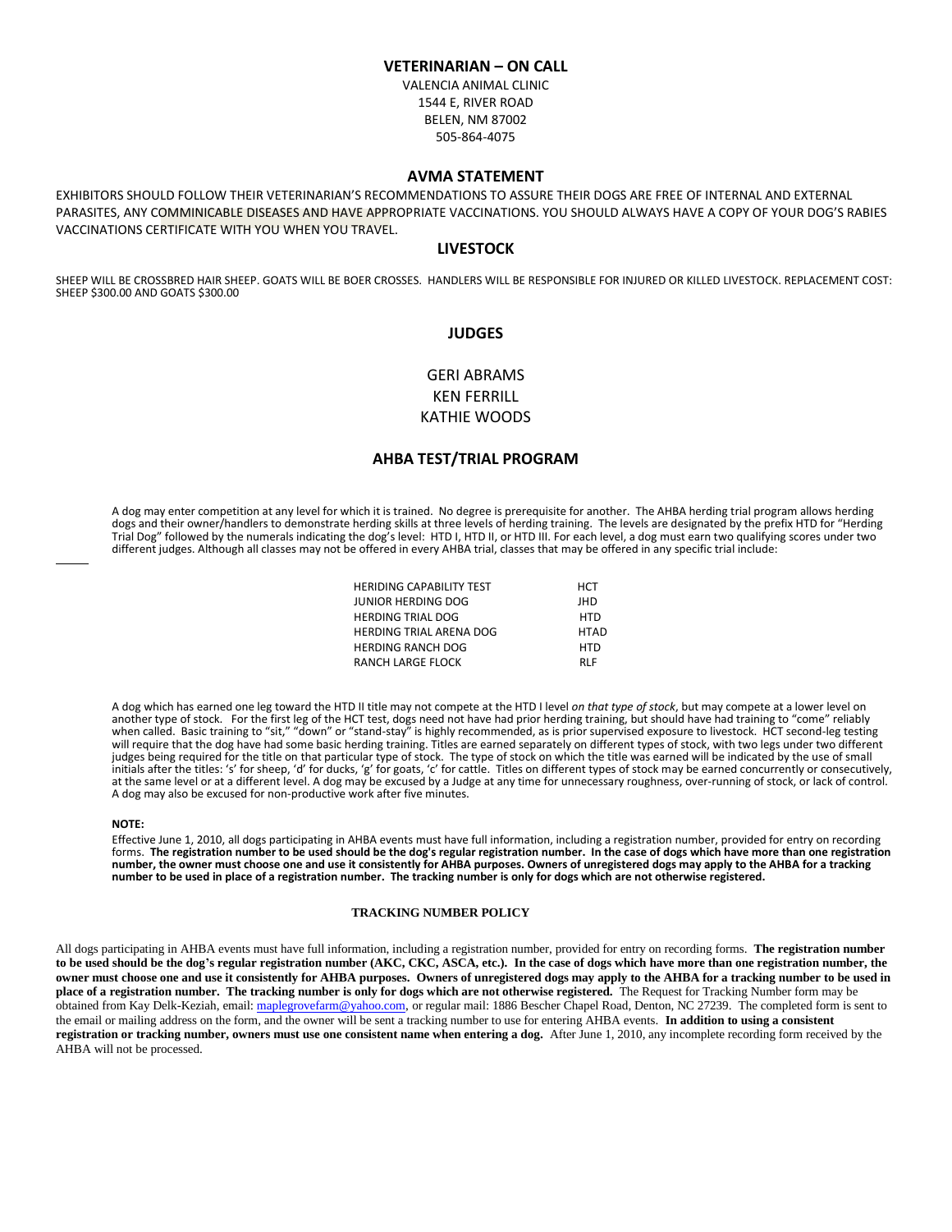#### **VETERINARIAN – ON CALL**

VALENCIA ANIMAL CLINIC 1544 E, RIVER ROAD BELEN, NM 87002 505-864-4075

#### **AVMA STATEMENT**

EXHIBITORS SHOULD FOLLOW THEIR VETERINARIAN'S RECOMMENDATIONS TO ASSURE THEIR DOGS ARE FREE OF INTERNAL AND EXTERNAL PARASITES, ANY COMMINICABLE DISEASES AND HAVE APPROPRIATE VACCINATIONS. YOU SHOULD ALWAYS HAVE A COPY OF YOUR DOG'S RABIES VACCINATIONS CERTIFICATE WITH YOU WHEN YOU TRAVEL.

#### **LIVESTOCK**

SHEEP WILL BE CROSSBRED HAIR SHEEP. GOATS WILL BE BOER CROSSES. HANDLERS WILL BE RESPONSIBLE FOR INJURED OR KILLED LIVESTOCK. REPLACEMENT COST: SHEEP \$300.00 AND GOATS \$300.00

#### **JUDGES**

## GERI ABRAMS KEN FERRILL KATHIE WOODS

#### **AHBA TEST/TRIAL PROGRAM**

A dog may enter competition at any level for which it is trained. No degree is prerequisite for another. The AHBA herding trial program allows herding dogs and their owner/handlers to demonstrate herding skills at three levels of herding training. The levels are designated by the prefix HTD for "Herding Trial Dog" followed by the numerals indicating the dog's level: HTD I, HTD II, or HTD III. For each level, a dog must earn two qualifying scores under two different judges. Although all classes may not be offered in every AHBA trial, classes that may be offered in any specific trial include:

| <b>HERIDING CAPABILITY TEST</b> | HCT         |
|---------------------------------|-------------|
| JUNIOR HERDING DOG              | JHD         |
| <b>HERDING TRIAL DOG</b>        | <b>HTD</b>  |
| <b>HERDING TRIAL ARENA DOG</b>  | <b>HTAD</b> |
| <b>HERDING RANCH DOG</b>        | <b>HTD</b>  |
| <b>RANCH LARGE FLOCK</b>        | <b>RLF</b>  |

A dog which has earned one leg toward the HTD II title may not compete at the HTD I level *on that type of stock*, but may compete at a lower level on another type of stock. For the first leg of the HCT test, dogs need not have had prior herding training, but should have had training to "come" reliably when called. Basic training to "sit," "down" or "stand-stay" is highly recommended, as is prior supervised exposure to livestock. HCT second-leg testing will require that the dog have had some basic herding training. Titles are earned separately on different types of stock, with two legs under two different judges being required for the title on that particular type of stock. The type of stock on which the title was earned will be indicated by the use of small initials after the titles: 's' for sheep, 'd' for ducks, 'g' for goats, 'c' for cattle. Titles on different types of stock may be earned concurrently or consecutively, at the same level or at a different level. A dog may be excused by a Judge at any time for unnecessary roughness, over-running of stock, or lack of control. A dog may also be excused for non-productive work after five minutes.

#### **NOTE:**

Effective June 1, 2010, all dogs participating in AHBA events must have full information, including a registration number, provided for entry on recording forms. **The registration number to be used should be the dog's regular registration number. In the case of dogs which have more than one registration number, the owner must choose one and use it consistently for AHBA purposes. Owners of unregistered dogs may apply to the AHBA for a tracking number to be used in place of a registration number. The tracking number is only for dogs which are not otherwise registered.** 

#### **TRACKING NUMBER POLICY**

All dogs participating in AHBA events must have full information, including a registration number, provided for entry on recording forms. **The registration number to be used should be the dog's regular registration number (AKC, CKC, ASCA, etc.). In the case of dogs which have more than one registration number, the owner must choose one and use it consistently for AHBA purposes. Owners of unregistered dogs may apply to the AHBA for a tracking number to be used in place of a registration number. The tracking number is only for dogs which are not otherwise registered.** The Request for Tracking Number form may be obtained from Kay Delk-Keziah, email[: maplegrovefarm@yahoo.com,](mailto:maplegrovefarm@yahoo.com) or regular mail: 1886 Bescher Chapel Road, Denton, NC 27239. The completed form is sent to the email or mailing address on the form, and the owner will be sent a tracking number to use for entering AHBA events. **In addition to using a consistent registration or tracking number, owners must use one consistent name when entering a dog.** After June 1, 2010, any incomplete recording form received by the AHBA will not be processed.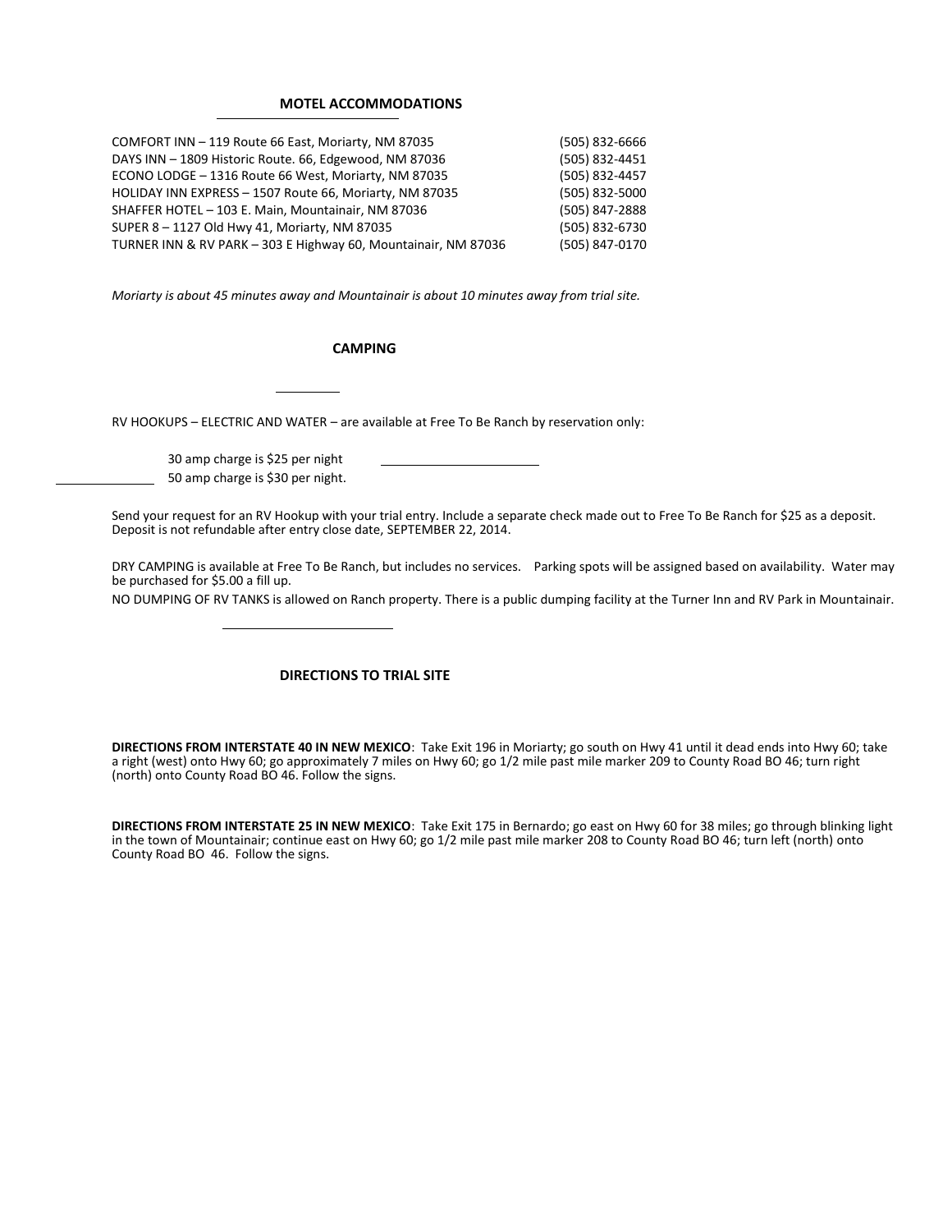#### **MOTEL ACCOMMODATIONS**

| COMFORT INN - 119 Route 66 East, Moriarty, NM 87035            | (505) 832-6666 |
|----------------------------------------------------------------|----------------|
| DAYS INN - 1809 Historic Route. 66, Edgewood, NM 87036         | (505) 832-4451 |
| ECONO LODGE - 1316 Route 66 West, Moriarty, NM 87035           | (505) 832-4457 |
| HOLIDAY INN EXPRESS - 1507 Route 66, Moriarty, NM 87035        | (505) 832-5000 |
| SHAFFER HOTEL - 103 E. Main, Mountainair, NM 87036             | (505) 847-2888 |
| SUPER 8 - 1127 Old Hwy 41, Moriarty, NM 87035                  | (505) 832-6730 |
| TURNER INN & RV PARK - 303 E Highway 60, Mountainair, NM 87036 | (505) 847-0170 |

*Moriarty is about 45 minutes away and Mountainair is about 10 minutes away from trial site.* 

#### **CAMPING**

RV HOOKUPS – ELECTRIC AND WATER – are available at Free To Be Ranch by reservation only:

30 amp charge is \$25 per night 50 amp charge is \$30 per night.

Send your request for an RV Hookup with your trial entry. Include a separate check made out to Free To Be Ranch for \$25 as a deposit. Deposit is not refundable after entry close date, SEPTEMBER 22, 2014.

DRY CAMPING is available at Free To Be Ranch, but includes no services. Parking spots will be assigned based on availability. Water may be purchased for \$5.00 a fill up.

NO DUMPING OF RV TANKS is allowed on Ranch property. There is a public dumping facility at the Turner Inn and RV Park in Mountainair.

#### **DIRECTIONS TO TRIAL SITE**

**DIRECTIONS FROM INTERSTATE 40 IN NEW MEXICO**: Take Exit 196 in Moriarty; go south on Hwy 41 until it dead ends into Hwy 60; take a right (west) onto Hwy 60; go approximately 7 miles on Hwy 60; go 1/2 mile past mile marker 209 to County Road BO 46; turn right (north) onto County Road BO 46. Follow the signs.

**DIRECTIONS FROM INTERSTATE 25 IN NEW MEXICO**: Take Exit 175 in Bernardo; go east on Hwy 60 for 38 miles; go through blinking light in the town of Mountainair; continue east on Hwy 60; go 1/2 mile past mile marker 208 to County Road BO 46; turn left (north) onto County Road BO 46. Follow the signs.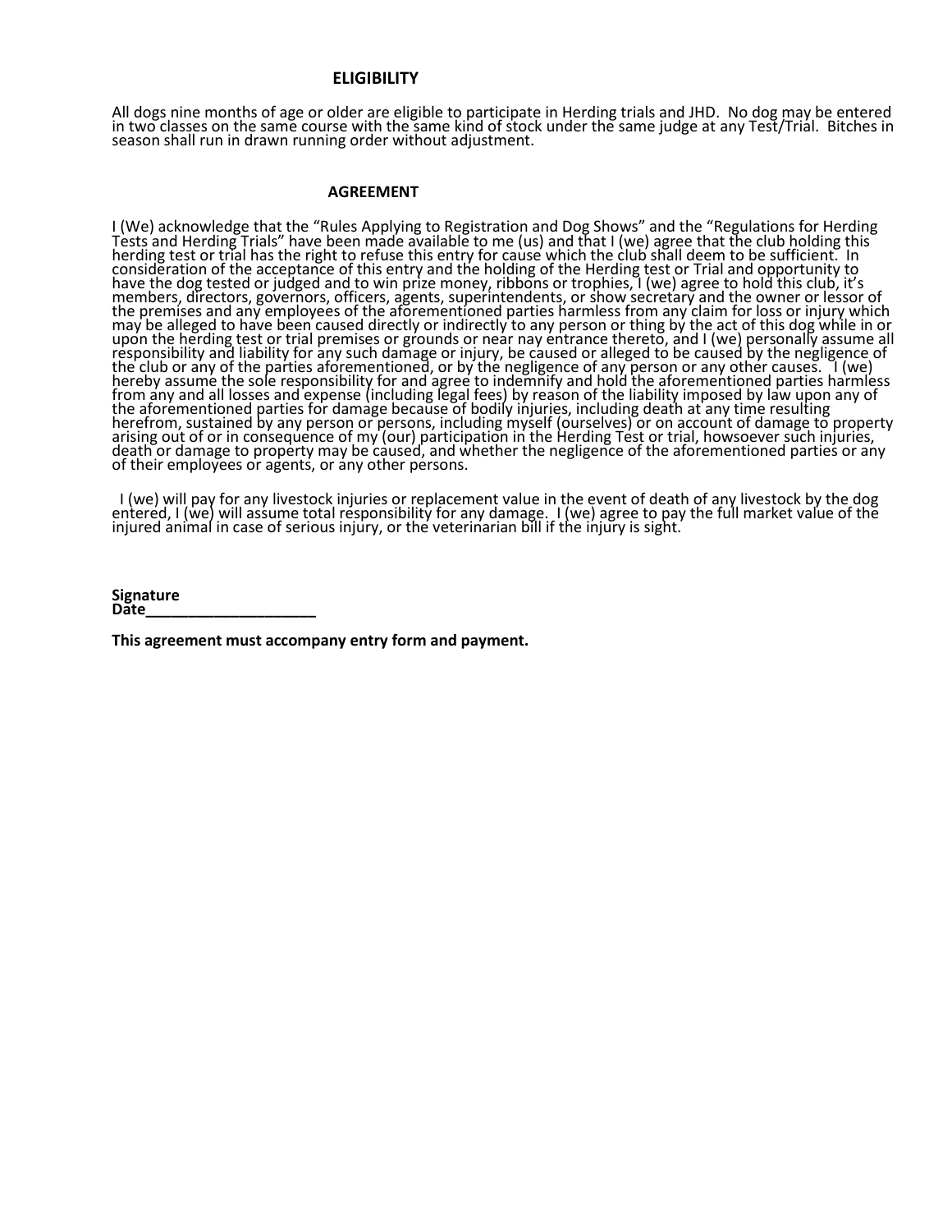#### **ELIGIBILITY**

All dogs nine months of age or older are eligible to participate in Herding trials and JHD. No dog may be entered in two classes on the same course with the same kind of stock under the same judge at any Test/Trial. Bitches in season shall run in drawn running order without adjustment.

#### **AGREEMENT**

I (We) acknowledge that the "Rules Applying to Registration and Dog Shows" and the "Regulations for Herding Tests and Herding Trials" have been made available to me (us) and that I (we) agree that the club holding this herding test or trial has the right to refuse this entry for cause which the club shall deem to be sufficient. In consideration of the acceptance of this entry and the holding of the Herding test or Trial and opportunity to have the dog tested or judged and to win prize money, ribbons or trophies, I (we) agree to hold this club, it's members, directors, governors, officers, agents, superintendents, or show secretary and the owner or lessor of the premises and any employees of the aforementioned parties harmless from any claim for loss or injury which may be alleged to have been caused directly or indirectly to any person or thing by the act of this dog while in or upon the herding test or trial premises or grounds or near nay entrance thereto, and I (we) personally assume all responsibility and liability for any such damage or injury, be caused or alleged to be caused by the negligence of the club or any of the parties aforementioned, or by the negligence of any person or any other causes. I (we) hereby assume the sole responsibility for and agree to indemnify and hold the aforementioned parties harmless from any and all losses and expense (including legal fees) by reason of the liability imposed by law upon any of the aforementioned parties for damage because of bodily injuries, including death at any time resulting herefrom, sustained by any person or persons, including myself (ourselves) or on account of damage to property arising out of or in consequence of my (our) participation in the Herding Test or trial, howsoever such injuries, death or damage to property may be caused, and whether the negligence of the aforementioned parties or any of their employees or agents, or any other persons.

 I (we) will pay for any livestock injuries or replacement value in the event of death of any livestock by the dog entered, I (we) will assume total responsibility for any damage. I (we) agree to pay the full market value of the injured animal in case of serious injury, or the veterinarian bill if the injury is sight.  $^{\prime}$ 

**Signature Date\_\_\_\_\_\_\_\_\_\_\_\_\_\_\_\_\_\_\_\_** 

**This agreement must accompany entry form and payment.**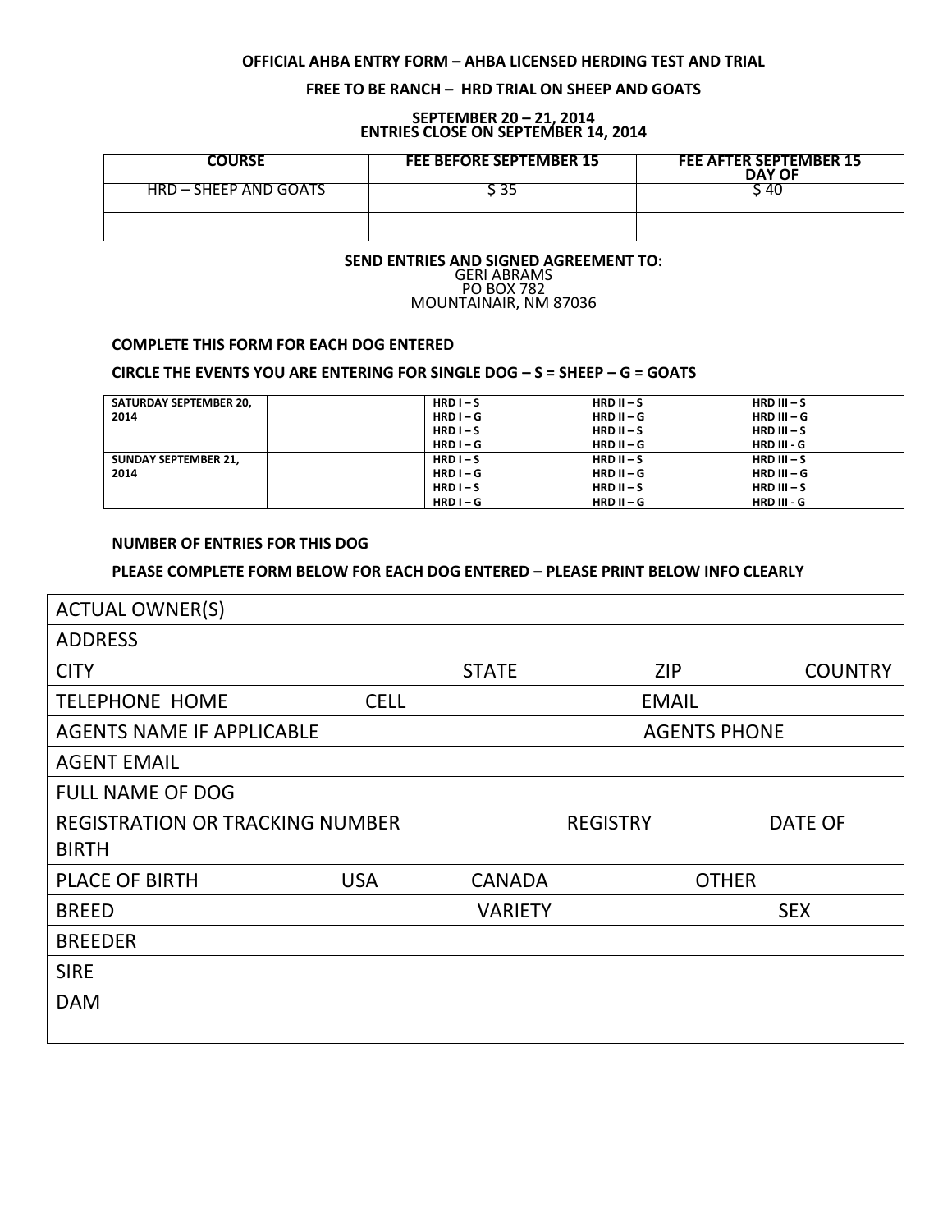## **OFFICIAL AHBA ENTRY FORM – AHBA LICENSED HERDING TEST AND TRIAL**

## **FREE TO BE RANCH – HRD TRIAL ON SHEEP AND GOATS**

#### **SEPTEMBER 20 – 21, 2014 ENTRIES CLOSE ON SEPTEMBER 14, 2014**

| <b>COURSE</b>         | <b>FEE BEFORE SEPTEMBER 15</b> | <b>FEE AFTER SEPTEMBER 15</b><br><b>DAY OF</b> |
|-----------------------|--------------------------------|------------------------------------------------|
| HRD – SHEEP AND GOATS |                                | 40                                             |
|                       |                                |                                                |

#### **SEND ENTRIES AND SIGNED AGREEMENT TO:** GERI ABRAMS PO BOX 782 MOUNTAINAIR, NM 87036

# **COMPLETE THIS FORM FOR EACH DOG ENTERED**

# **CIRCLE THE EVENTS YOU ARE ENTERING FOR SINGLE DOG – S = SHEEP – G = GOATS**

| SATURDAY SEPTEMBER 20.      | $HRD I-S$   | $HRD II-S$   | HRD $III - S$ |
|-----------------------------|-------------|--------------|---------------|
| 2014                        | $HRD I - G$ | $HRD II - G$ | HRD III $-G$  |
|                             | $HRD I-S$   | $HRD II-S$   | HRD $III - S$ |
|                             | $HRD I - G$ | $HRD II - G$ | $HRD III - G$ |
| <b>SUNDAY SEPTEMBER 21.</b> | $HRD I-S$   | HRD $II-S$   | HRD $III - S$ |
| 2014                        | $HRD I - G$ | $HRD II - G$ | $HRD III - G$ |
|                             | $HRD I-S$   | $HRD II-S$   | HRD $III - S$ |
|                             | $HRD I - G$ | $HRD II - G$ | $HRD III - G$ |

### **NUMBER OF ENTRIES FOR THIS DOG**

### **PLEASE COMPLETE FORM BELOW FOR EACH DOG ENTERED – PLEASE PRINT BELOW INFO CLEARLY**

| <b>ACTUAL OWNER(S)</b>                                 |             |                     |                 |                |
|--------------------------------------------------------|-------------|---------------------|-----------------|----------------|
| <b>ADDRESS</b>                                         |             |                     |                 |                |
| <b>CITY</b>                                            |             | <b>STATE</b>        | <b>ZIP</b>      | <b>COUNTRY</b> |
| <b>TELEPHONE HOME</b>                                  | <b>CELL</b> |                     | <b>EMAIL</b>    |                |
| <b>AGENTS NAME IF APPLICABLE</b>                       |             | <b>AGENTS PHONE</b> |                 |                |
| <b>AGENT EMAIL</b>                                     |             |                     |                 |                |
| <b>FULL NAME OF DOG</b>                                |             |                     |                 |                |
| <b>REGISTRATION OR TRACKING NUMBER</b><br><b>BIRTH</b> |             |                     | <b>REGISTRY</b> | <b>DATE OF</b> |
| <b>PLACE OF BIRTH</b>                                  | <b>USA</b>  | <b>CANADA</b>       |                 | <b>OTHER</b>   |
| <b>BREED</b>                                           |             | <b>VARIETY</b>      |                 | <b>SEX</b>     |
| <b>BREEDER</b>                                         |             |                     |                 |                |
| <b>SIRE</b>                                            |             |                     |                 |                |
| <b>DAM</b>                                             |             |                     |                 |                |